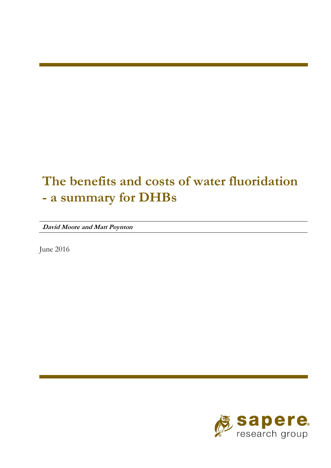# **The benefits and costs of water fluoridation - a summary for DHBs**

**David Moore and Matt Poynton** 

June 2016

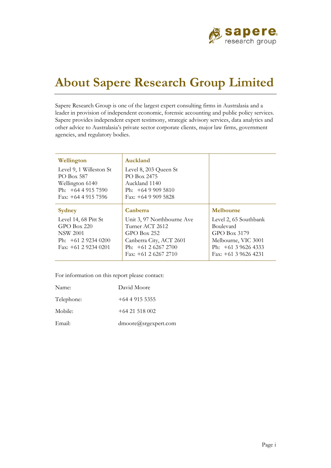

## **About Sapere Research Group Limited**

Sapere Research Group is one of the largest expert consulting firms in Australasia and a leader in provision of independent economic, forensic accounting and public policy services. Sapere provides independent expert testimony, strategic advisory services, data analytics and other advice to Australasia's private sector corporate clients, major law firms, government agencies, and regulatory bodies.

| Wellington<br>Level 9, 1 Willeston St<br>PO Box 587<br>Wellington 6140<br>Ph: $+6449157590$<br>Fax: $+6449157596$            | Auckland<br>Level 8, 203 Queen St<br>PO Box 2475<br>Auckland 1140<br>Ph: $+6499095810$<br>Fax: $+6499095828$                                             |                                                                                                                                        |
|------------------------------------------------------------------------------------------------------------------------------|----------------------------------------------------------------------------------------------------------------------------------------------------------|----------------------------------------------------------------------------------------------------------------------------------------|
| <b>Sydney</b><br>Level 14, 68 Pitt St<br>$GPO$ Box 220<br><b>NSW 2001</b><br>Ph: $+61$ 2 9234 0200<br>Fax: $+61$ 2 9234 0201 | Canberra<br>Unit 3, 97 Northbourne Ave<br>Turner ACT 2612<br>$GPO$ Box 252<br>Canberra City, ACT 2601<br>Ph: $+61$ 2 6267 2700<br>Fax: $+61$ 2 6267 2710 | Melbourne<br>Level 2, 65 Southbank<br>Boulevard<br>GPO Box 3179<br>Melbourne, VIC 3001<br>Ph: $+61396264333$<br>Fax: $+61$ 3 9626 4231 |

For information on this report please contact:

| Name:      | David Moore          |
|------------|----------------------|
| Telephone: | $+64$ 4 915 5355     |
| Mobile:    | $+6421518002$        |
| Email:     | dmoore@srgexpert.com |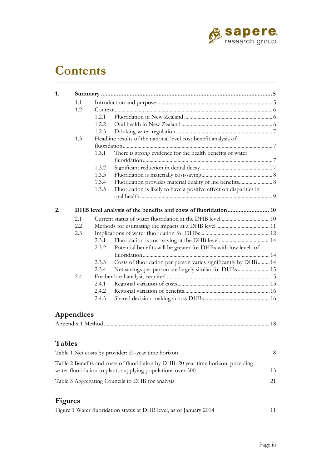

## **Contents**

| 1.1 |        |                                                                    |  |
|-----|--------|--------------------------------------------------------------------|--|
| 1.2 |        |                                                                    |  |
|     | 1.2.1  |                                                                    |  |
|     | 1.2.2. |                                                                    |  |
|     | 1.2.3  |                                                                    |  |
| 1.3 |        | Headline results of the national level cost benefit analysis of    |  |
|     |        |                                                                    |  |
|     | 1.3.1  | There is strong evidence for the health benefits of water          |  |
|     |        |                                                                    |  |
|     | 1.3.2  |                                                                    |  |
|     | 1.3.3  |                                                                    |  |
|     | 1.3.4  | Fluoridation provides material quality of life benefits 8          |  |
|     | 1.3.5  | Fluoridation is likely to have a positive effect on disparities in |  |
|     |        |                                                                    |  |
|     |        | DHB level analysis of the benefits and costs of fluoridation 10    |  |
| 2.1 |        |                                                                    |  |
| 2.2 |        |                                                                    |  |
| 2.3 |        |                                                                    |  |
|     | 2.3.1  |                                                                    |  |
|     |        |                                                                    |  |
|     | 2.3.2  |                                                                    |  |
|     |        | Potential benefits will be greater for DHBs with low levels of     |  |
|     | 2.3.3  |                                                                    |  |
|     | 2.3.4  | Costs of fluoridation per person varies significantly by DHB 14    |  |
| 2.4 |        | Net savings per person are largely similar for DHBs 15             |  |
|     | 2.4.1  |                                                                    |  |
|     | 2.4.2  |                                                                    |  |
|     | 2.4.3  |                                                                    |  |

### **Appendices**

|--|

#### **Tables**

| Table 1 Net costs by provider: 20-year time horizon                                                                                               |    |
|---------------------------------------------------------------------------------------------------------------------------------------------------|----|
| Table 2 Benefits and costs of fluoridation by DHB: 20 year time horizon, providing<br>water fluoridation to plants supplying populations over 500 | 13 |
| Table 3 Aggregating Councils to DHB for analysis                                                                                                  | 21 |

### **Figures**

| Figure 1 Water fluoridation status at DHB level, as of January 2014 |  |
|---------------------------------------------------------------------|--|
|                                                                     |  |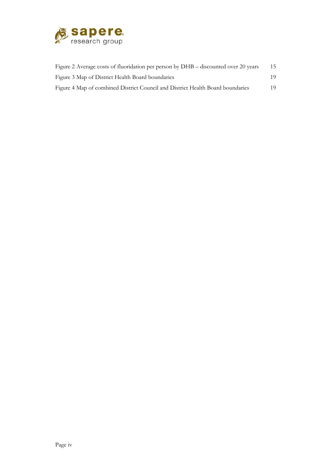

| Figure 2 Average costs of fluoridation per person by DHB – discounted over 20 years | 15  |
|-------------------------------------------------------------------------------------|-----|
| Figure 3 Map of District Health Board boundaries                                    | 19. |
| Figure 4 Map of combined District Council and District Health Board boundaries      | 19. |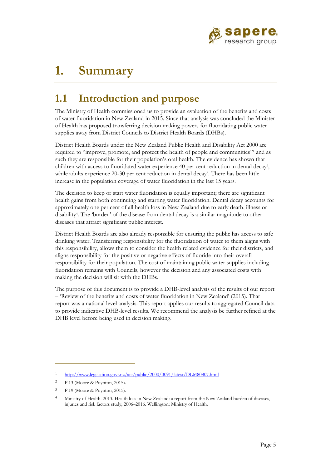

## **1. Summary**

## **1.1 Introduction and purpose**

The Ministry of Health commissioned us to provide an evaluation of the benefits and costs of water fluoridation in New Zealand in 2015. Since that analysis was concluded the Minister of Health has proposed transferring decision making powers for fluoridating public water supplies away from District Councils to District Health Boards (DHBs).

District Health Boards under the New Zealand Public Health and Disability Act 2000 are required to "improve, promote, and protect the health of people and communities"<sup>1</sup> and as such they are responsible for their population's oral health. The evidence has shown that children with access to fluoridated water experience 40 per cent reduction in dental decay2, while adults experience 20-30 per cent reduction in dental decay<sup>3</sup>. There has been little increase in the population coverage of water fluoridation in the last 15 years.

The decision to keep or start water fluoridation is equally important; there are significant health gains from both continuing and starting water fluoridation. Dental decay accounts for approximately one per cent of all health loss in New Zealand due to early death, illness or disability4. The 'burden' of the disease from dental decay is a similar magnitude to other diseases that attract significant public interest.

District Health Boards are also already responsible for ensuring the public has access to safe drinking water. Transferring responsibility for the fluoridation of water to them aligns with this responsibility, allows them to consider the health related evidence for their districts, and aligns responsibility for the positive or negative effects of fluoride into their overall responsibility for their population. The cost of maintaining public water supplies including fluoridation remains with Councils, however the decision and any associated costs with making the decision will sit with the DHBs.

The purpose of this document is to provide a DHB-level analysis of the results of our report – 'Review of the benefits and costs of water fluoridation in New Zealand' (2015). That report was a national level analysis. This report applies our results to aggregated Council data to provide indicative DHB-level results. We recommend the analysis be further refined at the DHB level before being used in decision making.

<sup>1</sup> http://www.legislation.govt.nz/act/public/2000/0091/latest/DLM80807.html

<sup>2</sup> P.13 (Moore & Poynton, 2015).

<sup>3</sup> P.19 (Moore & Poynton, 2015).

<sup>4</sup> Ministry of Health. 2013. Health loss in New Zealand: a report from the New Zealand burden of diseases, injuries and risk factors study, 2006–2016. Wellington: Ministry of Health.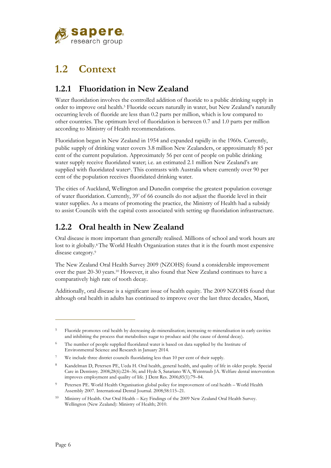

## **1.2 Context**

### **1.2.1 Fluoridation in New Zealand**

Water fluoridation involves the controlled addition of fluoride to a public drinking supply in order to improve oral health.5 Fluoride occurs naturally in water, but New Zealand's naturally occurring levels of fluoride are less than 0.2 parts per million, which is low compared to other countries. The optimum level of fluoridation is between 0.7 and 1.0 parts per million according to Ministry of Health recommendations.

Fluoridation began in New Zealand in 1954 and expanded rapidly in the 1960s. Currently, public supply of drinking water covers 3.8 million New Zealanders, or approximately 85 per cent of the current population. Approximately 56 per cent of people on public drinking water supply receive fluoridated water; i.e. an estimated 2.1 million New Zealand's are supplied with fluoridated water<sup>6</sup>. This contrasts with Australia where currently over 90 per cent of the population receives fluoridated drinking water.

The cities of Auckland, Wellington and Dunedin comprise the greatest population coverage of water fluoridation. Currently, 397 of 66 councils do not adjust the fluoride level in their water supplies. As a means of promoting the practice, the Ministry of Health had a subsidy to assist Councils with the capital costs associated with setting up fluoridation infrastructure.

### **1.2.2 Oral health in New Zealand**

Oral disease is more important than generally realised. Millions of school and work hours are lost to it globally.<sup>8</sup> The World Health Organization states that it is the fourth most expensive disease category.<sup>9</sup>

The New Zealand Oral Health Survey 2009 (NZOHS) found a considerable improvement over the past 20-30 years.10 However, it also found that New Zealand continues to have a comparatively high rate of tooth decay.

Additionally, oral disease is a significant issue of health equity. The 2009 NZOHS found that although oral health in adults has continued to improve over the last three decades, Maori,

<sup>&</sup>lt;sup>5</sup> Fluoride promotes oral health by decreasing de-mineralisation; increasing re-mineralisation in early cavities and inhibiting the process that metabolises sugar to produce acid (the cause of dental decay).

<sup>&</sup>lt;sup>6</sup> The number of people supplied fluoridated water is based on data supplied by the Institute of Environmental Science and Research in January 2014.

<sup>&</sup>lt;sup>7</sup> We include three district councils fluoridating less than 10 per cent of their supply.

<sup>8</sup> Kandelman D, Petersen PE, Ueda H. Oral health, general health, and quality of life in older people. Special Care in Dentistry. 2008;28(6):224–36; and Hyde S, Satariano WA, Weintraub JA. Welfare dental intervention improves employment and quality of life. J Dent Res. 2006;85(1):79–84.

<sup>&</sup>lt;sup>9</sup> Petersen PE. World Health Organisation global policy for improvement of oral health – World Health Assembly 2007. International Dental Journal. 2008;58:115–21.

<sup>10</sup> Ministry of Health. Our Oral Health – Key Findings of the 2009 New Zealand Oral Health Survey. Wellington (New Zealand): Ministry of Health; 2010.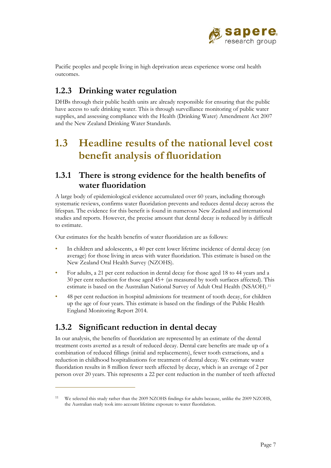

Pacific peoples and people living in high deprivation areas experience worse oral health outcomes.

### **1.2.3 Drinking water regulation**

DHBs through their public health units are already responsible for ensuring that the public have access to safe drinking water. This is through surveillance monitoring of public water supplies, and assessing compliance with the Health (Drinking Water) Amendment Act 2007 and the New Zealand Drinking Water Standards.

## **1.3 Headline results of the national level cost benefit analysis of fluoridation**

### **1.3.1 There is strong evidence for the health benefits of water fluoridation**

A large body of epidemiological evidence accumulated over 60 years, including thorough systematic reviews, confirms water fluoridation prevents and reduces dental decay across the lifespan. The evidence for this benefit is found in numerous New Zealand and international studies and reports. However, the precise amount that dental decay is reduced by is difficult to estimate.

Our estimates for the health benefits of water fluoridation are as follows:

- In children and adolescents, a 40 per cent lower lifetime incidence of dental decay (on average) for those living in areas with water fluoridation. This estimate is based on the New Zealand Oral Health Survey (NZOHS).
- For adults, a 21 per cent reduction in dental decay for those aged 18 to 44 years and a 30 per cent reduction for those aged 45+ (as measured by tooth surfaces affected). This estimate is based on the Australian National Survey of Adult Oral Health (NSAOH).11
- 48 per cent reduction in hospital admissions for treatment of tooth decay, for children up the age of four years. This estimate is based on the findings of the Public Health England Monitoring Report 2014.

### **1.3.2 Significant reduction in dental decay**

 $\overline{a}$ 

In our analysis, the benefits of fluoridation are represented by an estimate of the dental treatment costs averted as a result of reduced decay. Dental care benefits are made up of a combination of reduced fillings (initial and replacements), fewer tooth extractions, and a reduction in childhood hospitalisations for treatment of dental decay. We estimate water fluoridation results in 8 million fewer teeth affected by decay, which is an average of 2 per person over 20 years. This represents a 22 per cent reduction in the number of teeth affected

We selected this study rather than the 2009 NZOHS findings for adults because, unlike the 2009 NZOHS, the Australian study took into account lifetime exposure to water fluoridation.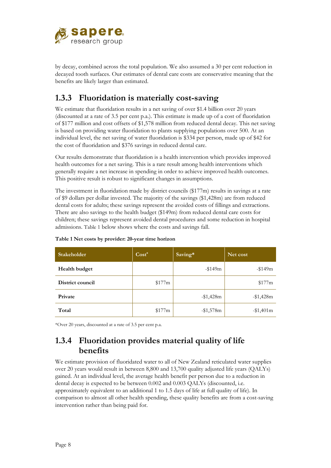

by decay, combined across the total population. We also assumed a 30 per cent reduction in decayed tooth surfaces. Our estimates of dental care costs are conservative meaning that the benefits are likely larger than estimated.

### **1.3.3 Fluoridation is materially cost-saving**

We estimate that fluoridation results in a net saving of over \$1.4 billion over 20 years (discounted at a rate of 3.5 per cent p.a.). This estimate is made up of a cost of fluoridation of \$177 million and cost offsets of \$1,578 million from reduced dental decay. This net saving is based on providing water fluoridation to plants supplying populations over 500. At an individual level, the net saving of water fluoridation is \$334 per person, made up of \$42 for the cost of fluoridation and \$376 savings in reduced dental care.

Our results demonstrate that fluoridation is a health intervention which provides improved health outcomes for a net saving. This is a rare result among health interventions which generally require a net increase in spending in order to achieve improved health outcomes. This positive result is robust to significant changes in assumptions.

The investment in fluoridation made by district councils (\$177m) results in savings at a rate of \$9 dollars per dollar invested. The majority of the savings (\$1,428m) are from reduced dental costs for adults; these savings represent the avoided costs of fillings and extractions. There are also savings to the health budget (\$149m) from reduced dental care costs for children; these savings represent avoided dental procedures and some reduction in hospital admissions. Table 1 below shows where the costs and savings fall.

| <b>Stakeholder</b> | $Cost^*$ | Saving*   | Net cost   |
|--------------------|----------|-----------|------------|
| Health budget      |          | $-149m$   | $-$ \$149m |
| District council   | \$177m   |           | \$177m     |
| Private            |          | $-1,428m$ | $-1,428m$  |
| Total              | \$177m   | $-1,578m$ | $-1,401m$  |

**Table 1 Net costs by provider: 20-year time horizon** 

\*Over 20 years, discounted at a rate of 3.5 per cent p.a.

### **1.3.4 Fluoridation provides material quality of life benefits**

We estimate provision of fluoridated water to all of New Zealand reticulated water supplies over 20 years would result in between 8,800 and 13,700 quality adjusted life years (QALYs) gained. At an individual level, the average health benefit per person due to a reduction in dental decay is expected to be between 0.002 and 0.003 QALYs (discounted, i.e. approximately equivalent to an additional 1 to 1.5 days of life at full quality of life). In comparison to almost all other health spending, these quality benefits are from a cost-saving intervention rather than being paid for.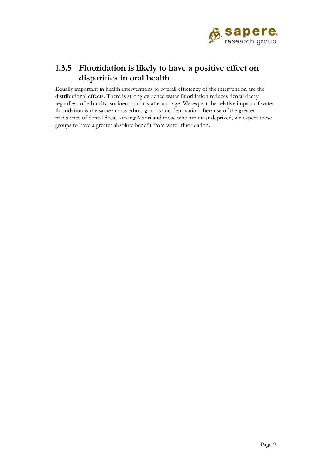

### **1.3.5 Fluoridation is likely to have a positive effect on disparities in oral health**

Equally important in health interventions to overall efficiency of the intervention are the distributional effects. There is strong evidence water fluoridation reduces dental decay regardless of ethnicity, socioeconomic status and age. We expect the relative impact of water fluoridation is the same across ethnic groups and deprivation. Because of the greater prevalence of dental decay among Maori and those who are most deprived, we expect these groups to have a greater absolute benefit from water fluoridation.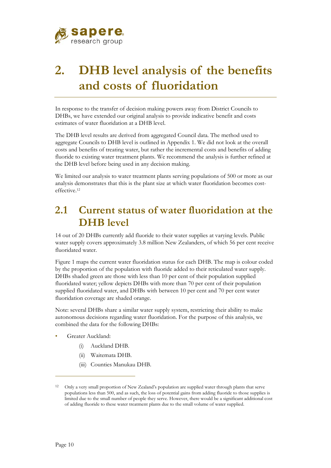

# **2. DHB level analysis of the benefits and costs of fluoridation**

In response to the transfer of decision making powers away from District Councils to DHBs, we have extended our original analysis to provide indicative benefit and costs estimates of water fluoridation at a DHB level.

The DHB level results are derived from aggregated Council data. The method used to aggregate Councils to DHB level is outlined in Appendix 1. We did not look at the overall costs and benefits of treating water, but rather the incremental costs and benefits of adding fluoride to existing water treatment plants. We recommend the analysis is further refined at the DHB level before being used in any decision making.

We limited our analysis to water treatment plants serving populations of 500 or more as our analysis demonstrates that this is the plant size at which water fluoridation becomes costeffective.12

### **2.1 Current status of water fluoridation at the DHB level**

14 out of 20 DHBs currently add fluoride to their water supplies at varying levels. Public water supply covers approximately 3.8 million New Zealanders, of which 56 per cent receive fluoridated water.

Figure 1 maps the current water fluoridation status for each DHB. The map is colour coded by the proportion of the population with fluoride added to their reticulated water supply. DHBs shaded green are those with less than 10 per cent of their population supplied fluoridated water; yellow depicts DHBs with more than 70 per cent of their population supplied fluoridated water, and DHBs with between 10 per cent and 70 per cent water fluoridation coverage are shaded orange.

Note: several DHBs share a similar water supply system, restricting their ability to make autonomous decisions regarding water fluoridation. For the purpose of this analysis, we combined the data for the following DHBs:

- Greater Auckland:
	- (i) Auckland DHB.
	- (ii) Waitemata DHB.
	- (iii) Counties Manukau DHB.

<sup>12</sup> Only a very small proportion of New Zealand's population are supplied water through plants that serve populations less than 500, and as such, the loss of potential gains from adding fluoride to those supplies is limited due to the small number of people they serve. However, there would be a significant additional cost of adding fluoride to these water treatment plants due to the small volume of water supplied.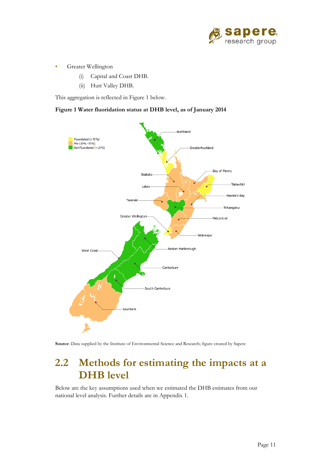

- Greater Wellington
	- (i) Capital and Coast DHB.
	- (ii) Hutt Valley DHB.

This aggregation is reflected in Figure 1 below.

#### **Figure 1 Water fluoridation status at DHB level, as of January 2014**



**Source**: Data supplied by the Institute of Environmental Science and Research; figure created by Sapere

### **2.2 Methods for estimating the impacts at a DHB level**

Below are the key assumptions used when we estimated the DHB estimates from our national level analysis. Further details are in Appendix 1.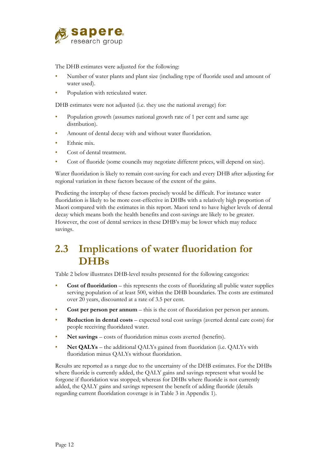

The DHB estimates were adjusted for the following:

- Number of water plants and plant size (including type of fluoride used and amount of water used).
- Population with reticulated water.

DHB estimates were not adjusted (i.e. they use the national average) for:

- Population growth (assumes national growth rate of 1 per cent and same age distribution).
- Amount of dental decay with and without water fluoridation.
- Ethnic mix.
- Cost of dental treatment.
- Cost of fluoride (some councils may negotiate different prices, will depend on size).

Water fluoridation is likely to remain cost-saving for each and every DHB after adjusting for regional variation in these factors because of the extent of the gains.

Predicting the interplay of these factors precisely would be difficult. For instance water fluoridation is likely to be more cost-effective in DHBs with a relatively high proportion of Maori compared with the estimates in this report. Maori tend to have higher levels of dental decay which means both the health benefits and cost-savings are likely to be greater. However, the cost of dental services in these DHB's may be lower which may reduce savings.

## **2.3 Implications of water fluoridation for DHBs**

Table 2 below illustrates DHB-level results presented for the following categories:

- **Cost of fluoridation** this represents the costs of fluoridating all public water supplies serving population of at least 500, within the DHB boundaries. The costs are estimated over 20 years, discounted at a rate of 3.5 per cent.
- **Cost per person per annum** this is the cost of fluoridation per person per annum.
- **Reduction in dental costs** expected total cost savings (averted dental care costs) for people receiving fluoridated water.
- **Net savings** costs of fluoridation minus costs averted (benefits).
- **Net QALYs** the additional QALYs gained from fluoridation (i.e. QALYs with fluoridation minus QALYs without fluoridation.

Results are reported as a range due to the uncertainty of the DHB estimates. For the DHBs where fluoride is currently added, the QALY gains and savings represent what would be forgone if fluoridation was stopped; whereas for DHBs where fluoride is not currently added, the QALY gains and savings represent the benefit of adding fluoride (details regarding current fluoridation coverage is in Table 3 in Appendix 1).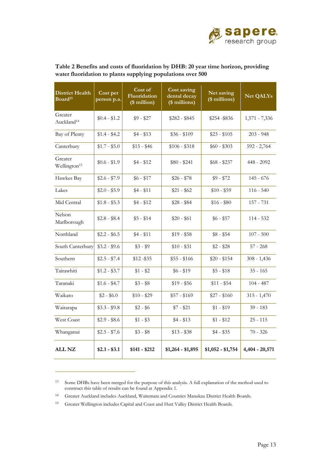

| <b>District Health</b><br>Board <sup>13</sup> | Cost per<br>person p.a. | Cost of<br>Fluoridation<br>(\$ million) | Cost saving<br>dental decay<br>(\$ millions) | Net saving<br>(\$ millions) | <b>Net QALYs</b> |
|-----------------------------------------------|-------------------------|-----------------------------------------|----------------------------------------------|-----------------------------|------------------|
| Greater<br>Auckland <sup>14</sup>             | $$0.4 - $1.2$           | $$9 - $27$                              | $$282 - $845$                                | \$254 -\$836                | $1,571 - 7,336$  |
| Bay of Plenty                                 | $$1.4 - $4.2$           | $$4 - $13$                              | $$36 - $109$                                 | $$23 - $105$                | $203 - 948$      |
| Canterbury                                    | $$1.7 - $5.0$           | $$15 - $46$                             | $$106 - $318$                                | $$60 - $303$                | $592 - 2,764$    |
| Greater<br>Wellington <sup>15</sup>           | $$0.6 - $1.9$           | \$4 - \$12                              | $$80 - $241$                                 | \$68 - \$237                | 448 - 2092       |
| Hawkes Bay                                    | $$2.6 - $7.9$           | $$6 - $17$                              | $$26 - $78$                                  | $$9 - $72$                  | $145 - 676$      |
| Lakes                                         | $$2.0 - $5.9$           | $$4 - $11$                              | $$21 - $62$                                  | $$10 - $59$                 | $116 - 540$      |
| Mid Central                                   | $$1.8 - $5.3$           | $$4 - $12$                              | $$28 - $84$                                  | $$16 - $80$                 | 157 - 731        |
| Nelson<br>Marlborough                         | $$2.8 - $8.4$           | $$5 - $14$                              | $$20 - $61$                                  | $$6 - $57$                  | $114 - 532$      |
| Northland                                     | $$2.2 - $6.5$           | $$4 - $11$                              | $$19 - $58$                                  | $$8 - $54$                  | $107 - 500$      |
| South Canterbury                              | $$3.2 - $9.6$           | $$3 - $9$                               | $$10 - $31$                                  | $$2 - $28$                  | $57 - 268$       |
| Southern                                      | $$2.5 - $7.4$           | \$12-\$35                               | $$55 - $166$                                 | $$20 - $154$                | $308 - 1,436$    |
| Tairawhiti                                    | $$1.2 - $3.7$           | $$1 - $2$                               | $$6 - $19$                                   | $$5 - $18$                  | $35 - 165$       |
| Taranaki                                      | $$1.6 - $4.7$           | $$3 - $8$                               | $$19 - $56$                                  | $$11 - $54$                 | $104 - 487$      |
| Waikato                                       | $$2 - $6.0$             | $$10 - $29$                             | $$57 - $169$                                 | $$27 - $160$                | $315 - 1,470$    |
| Wairarapa                                     | $$3.3 - $9.8$           | $$2 - $6$                               | $$7 - $21$                                   | $$1 - $19$                  | $39 - 183$       |
| West Coast                                    | $$2.9 - $8.6$           | $$1 - $3$                               | $$4 - $13$                                   | $$1 - $12$                  | $25 - 115$       |
| Whanganui                                     | $$2.5 - $7.6$           | $$3 - $8$                               | $$13 - $38$                                  | $$4 - $35$                  | $70 - 326$       |
| <b>ALL NZ</b>                                 | $$2.1 - $3.1$           | \$141 - \$212                           | $$1,264 - $1,895$                            | $$1,052 - $1,754$           | 4,404 - 20,571   |

#### **Table 2 Benefits and costs of fluoridation by DHB: 20 year time horizon, providing water fluoridation to plants supplying populations over 500**

<sup>13</sup> Some DHBs have been merged for the purpose of this analysis. A full explanation of the method used to construct this table of results can be found at Appendix 1.

<sup>14</sup> Greater Auckland includes Auckland, Waitemata and Counties Manukau District Health Boards.

<sup>15</sup> Greater Wellington includes Capital and Coast and Hutt Valley District Health Boards.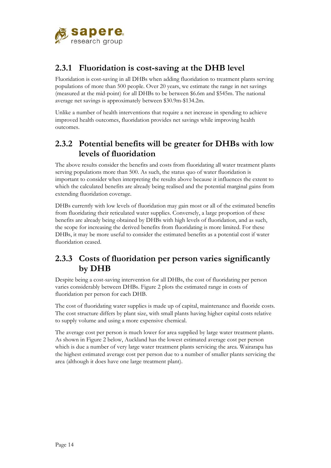

### **2.3.1 Fluoridation is cost-saving at the DHB level**

Fluoridation is cost-saving in all DHBs when adding fluoridation to treatment plants serving populations of more than 500 people. Over 20 years, we estimate the range in net savings (measured at the mid-point) for all DHBs to be between \$6.6m and \$545m. The national average net savings is approximately between \$30.9m-\$134.2m.

Unlike a number of health interventions that require a net increase in spending to achieve improved health outcomes, fluoridation provides net savings while improving health outcomes.

### **2.3.2 Potential benefits will be greater for DHBs with low levels of fluoridation**

The above results consider the benefits and costs from fluoridating all water treatment plants serving populations more than 500. As such, the status quo of water fluoridation is important to consider when interpreting the results above because it influences the extent to which the calculated benefits are already being realised and the potential marginal gains from extending fluoridation coverage.

DHBs currently with low levels of fluoridation may gain most or all of the estimated benefits from fluoridating their reticulated water supplies. Conversely, a large proportion of these benefits are already being obtained by DHBs with high levels of fluoridation, and as such, the scope for increasing the derived benefits from fluoridating is more limited. For these DHBs, it may be more useful to consider the estimated benefits as a potential cost if water fluoridation ceased.

### **2.3.3 Costs of fluoridation per person varies significantly by DHB**

Despite being a cost-saving intervention for all DHBs, the cost of fluoridating per person varies considerably between DHBs. Figure 2 plots the estimated range in costs of fluoridation per person for each DHB.

The cost of fluoridating water supplies is made up of capital, maintenance and fluoride costs. The cost structure differs by plant size, with small plants having higher capital costs relative to supply volume and using a more expensive chemical.

The average cost per person is much lower for area supplied by large water treatment plants. As shown in Figure 2 below, Auckland has the lowest estimated average cost per person which is due a number of very large water treatment plants servicing the area. Wairarapa has the highest estimated average cost per person due to a number of smaller plants servicing the area (although it does have one large treatment plant).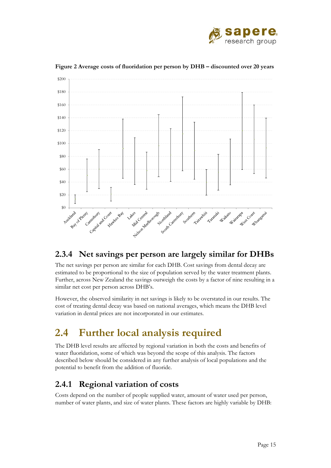



**Figure 2 Average costs of fluoridation per person by DHB – discounted over 20 years** 

#### **2.3.4 Net savings per person are largely similar for DHBs**

The net savings per person are similar for each DHB. Cost savings from dental decay are estimated to be proportional to the size of population served by the water treatment plants. Further, across New Zealand the savings outweigh the costs by a factor of nine resulting in a similar net cost per person across DHB's.

However, the observed similarity in net savings is likely to be overstated in our results. The cost of treating dental decay was based on national averages, which means the DHB level variation in dental prices are not incorporated in our estimates.

## **2.4 Further local analysis required**

The DHB level results are affected by regional variation in both the costs and benefits of water fluoridation, some of which was beyond the scope of this analysis. The factors described below should be considered in any further analysis of local populations and the potential to benefit from the addition of fluoride.

### **2.4.1 Regional variation of costs**

Costs depend on the number of people supplied water, amount of water used per person, number of water plants, and size of water plants. These factors are highly variable by DHB: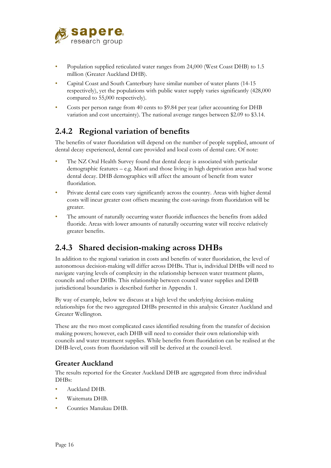

- Population supplied reticulated water ranges from 24,000 (West Coast DHB) to 1.5 million (Greater Auckland DHB).
- Capital Coast and South Canterbury have similar number of water plants (14-15 respectively), yet the populations with public water supply varies significantly (428,000 compared to 55,000 respectively).
- Costs per person range from 40 cents to \$9.84 per year (after accounting for DHB variation and cost uncertainty). The national average ranges between \$2.09 to \$3.14.

### **2.4.2 Regional variation of benefits**

The benefits of water fluoridation will depend on the number of people supplied, amount of dental decay experienced, dental care provided and local costs of dental care. Of note:

- The NZ Oral Health Survey found that dental decay is associated with particular demographic features – e.g. Maori and those living in high deprivation areas had worse dental decay. DHB demographics will affect the amount of benefit from water fluoridation.
- Private dental care costs vary significantly across the country. Areas with higher dental costs will incur greater cost offsets meaning the cost-savings from fluoridation will be greater.
- The amount of naturally occurring water fluoride influences the benefits from added fluoride. Areas with lower amounts of naturally occurring water will receive relatively greater benefits.

### **2.4.3 Shared decision-making across DHBs**

In addition to the regional variation in costs and benefits of water fluoridation, the level of autonomous decision-making will differ across DHBs. That is, individual DHBs will need to navigate varying levels of complexity in the relationship between water treatment plants, councils and other DHBs. This relationship between council water supplies and DHB jurisdictional boundaries is described further in Appendix 1.

By way of example, below we discuss at a high level the underlying decision-making relationships for the two aggregated DHBs presented in this analysis: Greater Auckland and Greater Wellington.

These are the two most complicated cases identified resulting from the transfer of decision making powers; however, each DHB will need to consider their own relationship with councils and water treatment supplies. While benefits from fluoridation can be realised at the DHB-level, costs from fluoridation will still be derived at the council-level.

#### **Greater Auckland**

The results reported for the Greater Auckland DHB are aggregated from three individual DHBs:

- Auckland DHB.
- Waitemata DHB.
- Counties Manukau DHB.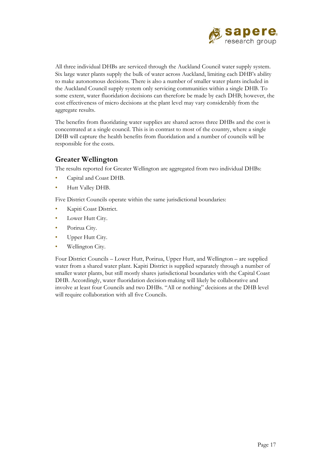

All three individual DHBs are serviced through the Auckland Council water supply system. Six large water plants supply the bulk of water across Auckland, limiting each DHB's ability to make autonomous decisions. There is also a number of smaller water plants included in the Auckland Council supply system only servicing communities within a single DHB. To some extent, water fluoridation decisions can therefore be made by each DHB; however, the cost effectiveness of micro decisions at the plant level may vary considerably from the aggregate results.

The benefits from fluoridating water supplies are shared across three DHBs and the cost is concentrated at a single council. This is in contrast to most of the country, where a single DHB will capture the health benefits from fluoridation and a number of councils will be responsible for the costs.

#### **Greater Wellington**

The results reported for Greater Wellington are aggregated from two individual DHBs:

- Capital and Coast DHB.
- Hutt Valley DHB.

Five District Councils operate within the same jurisdictional boundaries:

- Kapiti Coast District.
- Lower Hutt City.
- Porirua City.
- Upper Hutt City.
- Wellington City.

Four District Councils – Lower Hutt, Porirua, Upper Hutt, and Wellington – are supplied water from a shared water plant. Kapiti District is supplied separately through a number of smaller water plants, but still mostly shares jurisdictional boundaries with the Capital Coast DHB. Accordingly, water fluoridation decision-making will likely be collaborative and involve at least four Councils and two DHBs. "All or nothing" decisions at the DHB level will require collaboration with all five Councils.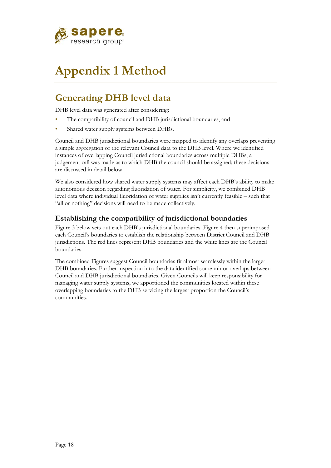

# **Appendix 1 Method**

### **Generating DHB level data**

DHB level data was generated after considering:

- The compatibility of council and DHB jurisdictional boundaries, and
- Shared water supply systems between DHBs.

Council and DHB jurisdictional boundaries were mapped to identify any overlaps preventing a simple aggregation of the relevant Council data to the DHB level. Where we identified instances of overlapping Council jurisdictional boundaries across multiple DHBs, a judgement call was made as to which DHB the council should be assigned; these decisions are discussed in detail below.

We also considered how shared water supply systems may affect each DHB's ability to make autonomous decision regarding fluoridation of water. For simplicity, we combined DHB level data where individual fluoridation of water supplies isn't currently feasible – such that "all or nothing" decisions will need to be made collectively.

#### **Establishing the compatibility of jurisdictional boundaries**

Figure 3 below sets out each DHB's jurisdictional boundaries. Figure 4 then superimposed each Council's boundaries to establish the relationship between District Council and DHB jurisdictions. The red lines represent DHB boundaries and the white lines are the Council boundaries.

The combined Figures suggest Council boundaries fit almost seamlessly within the larger DHB boundaries. Further inspection into the data identified some minor overlaps between Council and DHB jurisdictional boundaries. Given Councils will keep responsibility for managing water supply systems, we apportioned the communities located within these overlapping boundaries to the DHB servicing the largest proportion the Council's communities.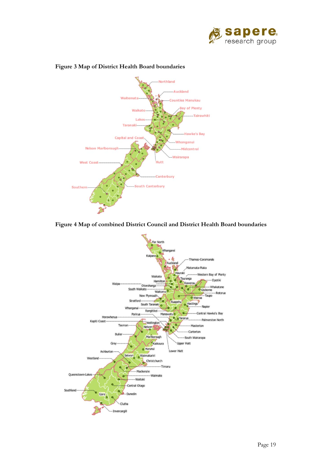



#### **Figure 3 Map of District Health Board boundaries**



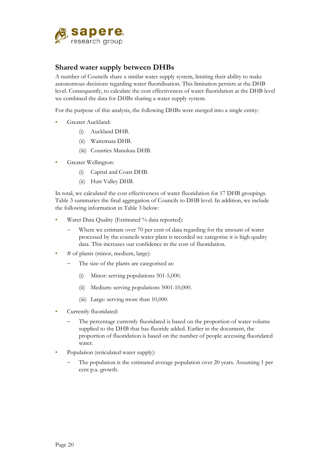

#### **Shared water supply between DHBs**

A number of Councils share a similar water supply system, limiting their ability to make autonomous decisions regarding water fluoridisation. This limitation persists at the DHB level. Consequently, to calculate the cost effectiveness of water fluoridation at the DHB level we combined the data for DHBs sharing a water supply system.

For the purpose of this analysis, the following DHBs were merged into a single entity:

- Greater Auckland:
	- (i) Auckland DHB.
	- (ii) Waitemata DHB.
	- (iii) Counties Manukau DHB.
- Greater Wellington:
	- (i) Capital and Coast DHB.
	- (ii) Hutt Valley DHB.

In total, we calculated the cost effectiveness of water fluoridation for 17 DHB groupings. Table 3 summaries the final aggregation of Councils to DHB level. In addition, we include the following information in Table 3 below:

- Water Data Quality (Estimated % data reported):
	- Where we estimate over 70 per cent of data regarding for the amount of water processed by the councils water plant is recorded we categorise it is high quality data. This increases our confidence in the cost of fluoridation.
- # of plants (minor, medium, large):
	- The size of the plants are categorised as:
		- (i) Minor: serving populations 501-5,000.
		- (ii) Medium: serving populations 5001-10,000.
		- (iii) Large: serving more than 10,000.
- Currently fluoridated:
	- The percentage currently fluoridated is based on the proportion of water volume supplied to the DHB that has fluoride added. Earlier in the document, the proportion of fluoridation is based on the number of people accessing fluoridated water.
- Population (reticulated water supply):
	- The population is the estimated average population over 20 years. Assuming 1 per cent p.a. growth.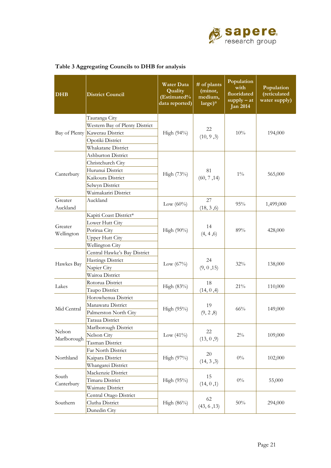

| <b>DHB</b>          | <b>District Council</b>        | <b>Water Data</b><br>Quality<br>(Estimated%<br>data reported) | # of plants<br>(minor,<br>medium,<br>$large)^n$ | Population<br>with<br>fluoridated<br>$supply - at$<br><b>Jan 2014</b> | Population<br>(reticulated<br>water supply) |
|---------------------|--------------------------------|---------------------------------------------------------------|-------------------------------------------------|-----------------------------------------------------------------------|---------------------------------------------|
|                     | Tauranga City                  |                                                               |                                                 |                                                                       |                                             |
|                     | Western Bay of Plenty District |                                                               |                                                 |                                                                       |                                             |
|                     | Bay of Plenty Kawerau District | High $(94\%)$                                                 | 22<br>(10, 9, 3)                                | 10%                                                                   | 194,000                                     |
|                     | Opotiki District               |                                                               |                                                 |                                                                       |                                             |
|                     | Whakatane District             |                                                               |                                                 |                                                                       |                                             |
|                     | Ashburton District             |                                                               |                                                 |                                                                       |                                             |
|                     | Christchurch City              |                                                               |                                                 |                                                                       |                                             |
|                     | Hurunui District               |                                                               | 81                                              |                                                                       |                                             |
| Canterbury          | Kaikoura District              | High (73%)                                                    | (60, 7, 14)                                     | $1\%$                                                                 | 565,000                                     |
|                     | Selwyn District                |                                                               |                                                 |                                                                       |                                             |
|                     | Waimakariri District           |                                                               |                                                 |                                                                       |                                             |
| Greater             | Auckland                       |                                                               | 27                                              | 95%                                                                   | 1,499,000                                   |
| Auckland            |                                | Low $(60\%)$                                                  | (18, 3, 6)                                      |                                                                       |                                             |
|                     | Kapiti Coast District*         |                                                               | 14<br>(4, 4, 6)                                 | 89%                                                                   | 428,000                                     |
| Greater             | Lower Hutt City                |                                                               |                                                 |                                                                       |                                             |
| Wellington          | Porirua City                   | High $(90\%)$                                                 |                                                 |                                                                       |                                             |
|                     | <b>Upper Hutt City</b>         |                                                               |                                                 |                                                                       |                                             |
|                     | Wellington City                |                                                               |                                                 |                                                                       |                                             |
|                     | Central Hawke's Bay District   |                                                               | 24<br>(9, 0, 15)                                | $32\%$                                                                | 138,000                                     |
| Hawkes Bay          | Hastings District              |                                                               |                                                 |                                                                       |                                             |
|                     | Napier City                    | Low $(67%)$                                                   |                                                 |                                                                       |                                             |
|                     | Wairoa District                |                                                               |                                                 |                                                                       |                                             |
| Lakes               | Rotorua District               | High $(83%)$                                                  | 18<br>(14, 0, 4)                                | 21%                                                                   | 110,000                                     |
|                     | Taupo District                 |                                                               |                                                 |                                                                       |                                             |
|                     | Horowhenua District            |                                                               | 19                                              | 66%                                                                   | 149,000                                     |
| Mid Central         | Manawatu District              | High (95%)                                                    |                                                 |                                                                       |                                             |
|                     | Palmerston North City          |                                                               | (9, 2, 8)                                       |                                                                       |                                             |
|                     | Taraua District                |                                                               |                                                 |                                                                       |                                             |
| Nelson              | Marlborough District           |                                                               | $22\,$<br>(13, 0, 9)                            | $2\%$                                                                 | 109,000                                     |
| Marlborough         | Nelson City                    | Low $(41\%)$                                                  |                                                 |                                                                       |                                             |
|                     | Tasman District                |                                                               |                                                 |                                                                       |                                             |
|                     | Far North District             |                                                               | $20\,$                                          | $0\%$                                                                 | 102,000                                     |
| Northland           | Kaipara District               | High (97%)                                                    | (14, 3, 3)                                      |                                                                       |                                             |
|                     | Whangarei District             |                                                               |                                                 |                                                                       |                                             |
| South<br>Canterbury | Mackenzie District             |                                                               | 15<br>(14, 0, 1)                                | $0\%$                                                                 | 55,000                                      |
|                     | Timaru District                | High (95%)                                                    |                                                 |                                                                       |                                             |
|                     | Waimate District               |                                                               |                                                 |                                                                       |                                             |
|                     | Central Otago District         |                                                               | 62                                              |                                                                       |                                             |
| Southern            | Clutha District                | High (86%)                                                    | (43, 6, 13)                                     | $50\%$                                                                | 294,000                                     |
|                     | Dunedin City                   |                                                               |                                                 |                                                                       |                                             |

#### **Table 3 Aggregating Councils to DHB for analysis**